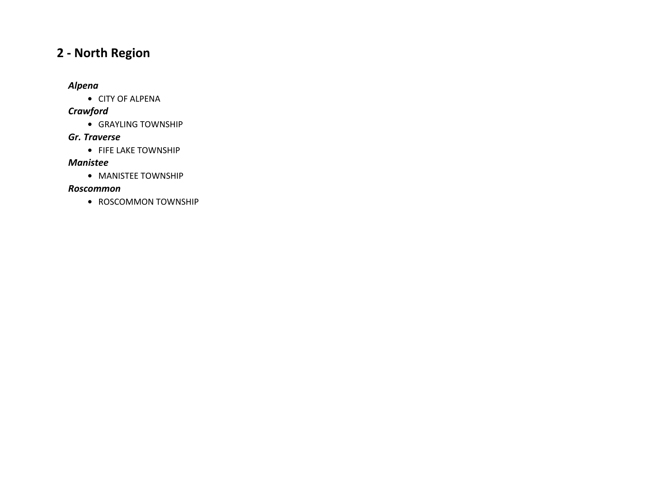# **2 ‐ North Region**

#### *Alpena*

**•** CITY OF ALPENA

### *Crawford*

**•** GRAYLING TOWNSHIP

#### *Gr. Traverse*

**•** FIFE LAKE TOWNSHIP

#### *Manistee*

**•** MANISTEE TOWNSHIP

#### *Roscommon*

**•** ROSCOMMON TOWNSHIP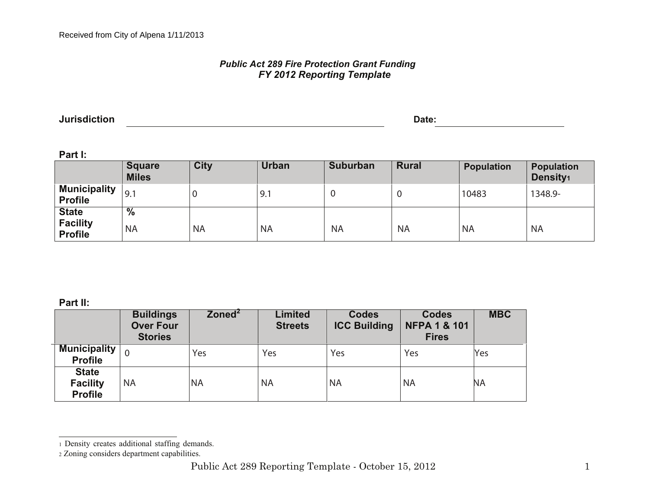# *Public Act 289 Fire Protection Grant Funding FY 2012 Reporting Template*

**Jurisdiction Date:**

**Part I:**

| .                                                 | <b>Square</b><br><b>Miles</b> | <b>City</b> | Urban     | <b>Suburban</b> | <b>Rural</b> | <b>Population</b> | <b>Population</b><br>Density <sub>1</sub> |
|---------------------------------------------------|-------------------------------|-------------|-----------|-----------------|--------------|-------------------|-------------------------------------------|
| <b>Municipality</b><br><b>Profile</b>             | 9.1                           |             | 9.1       | U               |              | 10483             | 1348.9-                                   |
| <b>State</b><br><b>Facility</b><br><b>Profile</b> | $\%$<br><b>NA</b>             | <b>NA</b>   | <b>NA</b> | <b>NA</b>       | <b>NA</b>    | <b>NA</b>         | <b>NA</b>                                 |

**Part II:**

|                                                   | <b>Buildings</b><br><b>Over Four</b><br><b>Stories</b> | $\mathsf{Zoned}^2$ | <b>Limited</b><br><b>Streets</b> | <b>Codes</b><br><b>ICC Building</b> | <b>Codes</b><br><b>NFPA 1 &amp; 101</b><br><b>Fires</b> | <b>MBC</b> |
|---------------------------------------------------|--------------------------------------------------------|--------------------|----------------------------------|-------------------------------------|---------------------------------------------------------|------------|
| <b>Municipality</b><br><b>Profile</b>             | $\Omega$                                               | Yes                | Yes                              | Yes                                 | Yes                                                     | Yes        |
| <b>State</b><br><b>Facility</b><br><b>Profile</b> | <b>NA</b>                                              | <b>NA</b>          | <b>NA</b>                        | <b>NA</b>                           | <b>NA</b>                                               | ΝA         |

<sup>1</sup> Density creates additional staffing demands.

<sup>2</sup> Zoning considers department capabilities.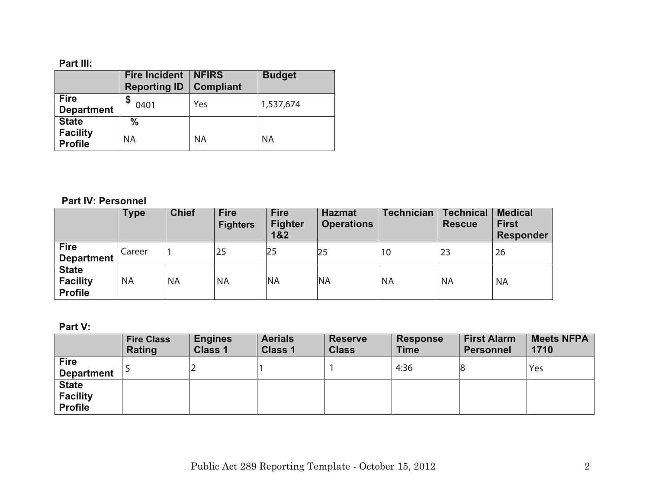|                                   | <b>Fire Incident</b><br><b>Reporting ID</b> | <b>NFIRS</b><br><b>Compliant</b> | <b>Budget</b> |
|-----------------------------------|---------------------------------------------|----------------------------------|---------------|
| <b>Fire</b><br><b>Department</b>  | \$<br>0401                                  | Yes                              | 1,537,674     |
| <b>State</b>                      | $\frac{0}{0}$                               |                                  |               |
| <b>Facility</b><br><b>Profile</b> | <b>NA</b>                                   | <b>NA</b>                        | <b>NA</b>     |

# **Part IV: Personnel**

|                                                   | <b>Type</b> | <b>Chief</b> | <b>Fire</b><br><b>Fighters</b> | <b>Fire</b><br><b>Fighter</b><br>1&2 | <b>Hazmat</b><br><b>Operations</b> | <b>Technician</b> | <b>Technical</b><br><b>Rescue</b> | <b>Medical</b><br><b>First</b><br>Responder |
|---------------------------------------------------|-------------|--------------|--------------------------------|--------------------------------------|------------------------------------|-------------------|-----------------------------------|---------------------------------------------|
| <b>Fire</b><br><b>Department</b>                  | Career      |              | 25                             | 25                                   | 25                                 | 10                | 23                                | 26                                          |
| <b>State</b><br><b>Facility</b><br><b>Profile</b> | <b>NA</b>   | <b>NA</b>    | <b>NA</b>                      | <b>NA</b>                            | <b>NA</b>                          | <b>NA</b>         | <b>NA</b>                         | <b>NA</b>                                   |

# **Part V:**

|                                                   | <b>Fire Class</b><br><b>Rating</b> | <b>Engines</b><br><b>Class 1</b> | <b>Aerials</b><br><b>Class 1</b> | <b>Reserve</b><br><b>Class</b> | <b>Response</b><br><b>Time</b> | <b>First Alarm</b><br><b>Personnel</b> | <b>Meets NFPA</b><br>1710 |
|---------------------------------------------------|------------------------------------|----------------------------------|----------------------------------|--------------------------------|--------------------------------|----------------------------------------|---------------------------|
| <b>Fire</b><br><b>Department</b>                  |                                    |                                  |                                  |                                | 4:36                           |                                        | Yes                       |
| <b>State</b><br><b>Facility</b><br><b>Profile</b> |                                    |                                  |                                  |                                |                                |                                        |                           |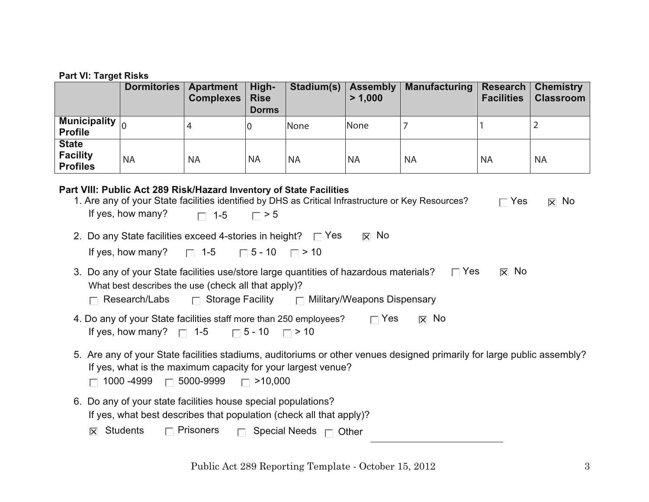|                                                    | Dormitories | Apartment<br><b>Complexes</b> | High-<br><b>Rise</b><br><b>Dorms</b> | Stadium(s)   Assembly | > 1.000   | Manufacturing   Research | <b>Facilities</b> | <b>Chemistry</b><br><b>Classroom</b> |
|----------------------------------------------------|-------------|-------------------------------|--------------------------------------|-----------------------|-----------|--------------------------|-------------------|--------------------------------------|
| Municipality $\vert_0$<br><b>Profile</b>           |             | 4                             |                                      | <b>None</b>           | None      |                          |                   |                                      |
| <b>State</b><br><b>Facility</b><br><b>Profiles</b> | <b>NA</b>   | <b>NA</b>                     | 'NA                                  | <b>NA</b>             | <b>NA</b> | <b>NA</b>                | <b>NA</b>         | <b>NA</b>                            |

# **Part VIII: Public Act 289 Risk/Hazard Inventory of State Facilities**

| T THE F QUIL ACT LOS INSIDE REAL HITCHIN TO ORIGING THE HIM<br>1. Are any of your State facilities identified by DHS as Critical Infrastructure or Key Resources?<br>If yes, how many? $\Box$ 1-5 $\Box$ > 5                                  | $\sqcap$ Yes           | $\overline{\times}$ No |
|-----------------------------------------------------------------------------------------------------------------------------------------------------------------------------------------------------------------------------------------------|------------------------|------------------------|
| $\overline{\times}$ No<br>2. Do any State facilities exceed 4-stories in height? $\Box$ Yes<br>If yes, how many? $\Box$ 1-5 $\Box$ 5 - 10 $\Box$ > 10                                                                                         |                        |                        |
| 3. Do any of your State facilities use/store large quantities of hazardous materials?<br>$\Box$ Yes<br>What best describes the use (check all that apply)?<br>$\Box$ Research/Labs $\Box$ Storage Facility $\Box$ Military/Weapons Dispensary | $\overline{\times}$ No |                        |
| 4. Do any of your State facilities staff more than 250 employees? $\Box$ Yes<br>$\overline{X}$ No<br>If yes, how many? $\Box$ 1-5 $\Box$ 5 - 10 $\Box$ > 10                                                                                   |                        |                        |
| 5. Are any of your State facilities stadiums, auditoriums or other venues designed primarily for large public assembly?<br>If yes, what is the maximum capacity for your largest venue?<br>1000 -4999 $\Box$ 5000-9999 $\Box$ >10,000         |                        |                        |
| 6. Do any of your state facilities house special populations?<br>If yes, what best describes that population (check all that apply)?                                                                                                          |                        |                        |

 $|\overline{x}|$  Students s  $\qquad \qquad \Box$  Prisoners  $\qquad \Box$  Special Needs  $\Box$  Other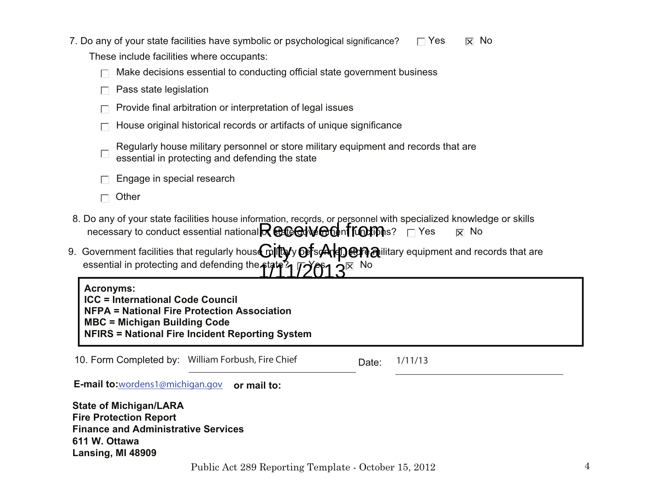| 7. Do any of your state facilities have symbolic or psychological significance? |  |
|---------------------------------------------------------------------------------|--|
| These include facilities where occupants:                                       |  |

| $\Box$ Make decisions essential to conducting official state government business |  |  |  |
|----------------------------------------------------------------------------------|--|--|--|
|                                                                                  |  |  |  |

- Pass state legislation
- Provide final arbitration or interpretation of legal issues
- House original historical records or artifacts of unique significance

| Regularly house military personnel or store military equipment and records that are |
|-------------------------------------------------------------------------------------|
| essential in protecting and defending the state                                     |

- Engage in special research
- $\Box$  Other
- 8. Do any of your state facilities house information, records, or personnel with specialized knowledge or skillsnecessary to conduct essential national $\mathsf R$   $\oplus$   $\mathsf G$ ed v $\oplus$  on fr $\oplus$ fms?  $\hphantom{a}$   $\hphantom{a}$   $\hphantom{a}$   $\hphantom{a}$   $\hphantom{a}$   $\hphantom{a}$   $\hphantom{a}$   $\hphantom{a}$   $\hphantom{a}$   $\hphantom{a}$  $\overline{\mathbf{x}}$  No
- 9. Government facilities that regularly hous $\mathbf C$ iltayy $\mathbf C$ fs $\mathcal A$ lp $\mathbf C$ alilitary equipment and records that are essential in protecting and defending the state Yes $\overline{\mathbf{h}}$  No 1711/2013

**NFIRS = National Fire Incident Reporting System MBC = Michigan Building CodeNFPA = National Fire Protection Association ICC = International Code Council Acronyms:**

10. Form Completed by: William Forbush, Fire Chief Norman Date: Date:  $1/11/13$ 

**E-mail to:**wordens1@michigan.gov **or mail to:**

**State of Michigan/LARA Fire Protection Report Finance and Administrative Services611 W. OttawaLansing, MI 48909**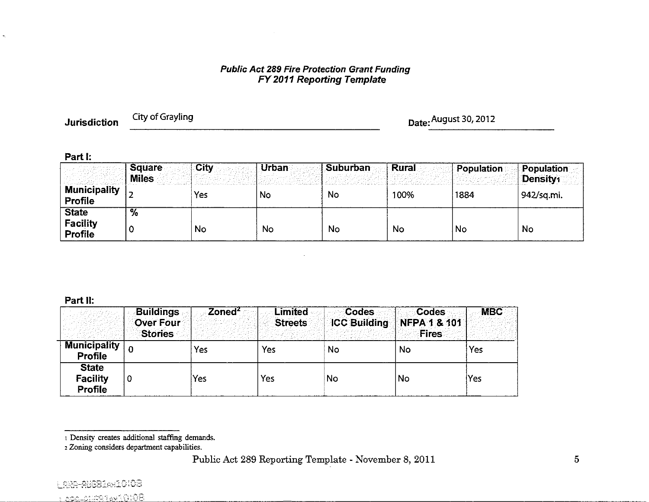# **Public Act 289 Fire Protection Grant Funding<br>FY 2011 Reporting Template**

**Jurisdiction** 

City of Grayling

Date: August 30, 2012

#### Part I:

 $\tilde{\mathcal{L}}$ 

|                                     | <b>Square</b><br><b>Miles</b> | City | Urban     | Suburban | ∶Rural⊹ | Population | Population<br>Density1 |
|-------------------------------------|-------------------------------|------|-----------|----------|---------|------------|------------------------|
| <b>Municipality</b><br>Profile      |                               | Yes  | No        | No       | 100%    | 1884       | 942/sq.mi.             |
| <b>State</b><br>Facility<br>Profile | $\overline{\mathcal{A}}$      | No   | <b>No</b> | No       | No      | <b>No</b>  | No                     |

#### Part II:

|                                            | <b>Buildings</b><br><b>Over Four</b><br><b>Stories</b> | Zoned <sup>2</sup> | <b>Limited</b><br><b>Streets</b> | <b>Codes</b> | Codes<br>ICC Building NFPA 1 & 101<br><b>Fires</b> | <b>MBC</b> |
|--------------------------------------------|--------------------------------------------------------|--------------------|----------------------------------|--------------|----------------------------------------------------|------------|
| <b>Municipality</b><br>Profile             |                                                        | Yes                | Yes                              | <b>No</b>    | No                                                 | Yes        |
| <b>State</b><br><b>Facility</b><br>Profile | 0                                                      | Yes                | Yes                              | No           | <b>No</b>                                          | Yes        |

<sup>&</sup>lt;sup>1</sup> Density creates additional staffing demands.

<sup>2</sup> Zoning considers department capabilities.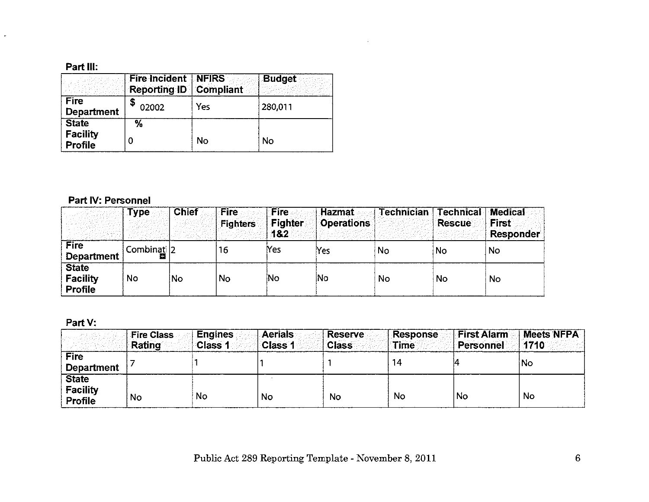$\omega_{\rm c}$ 

|                                                   | <b>Fire Incident NFIRS</b><br><b>Reporting ID Compliant</b> |     | <b>Budget</b> |
|---------------------------------------------------|-------------------------------------------------------------|-----|---------------|
| <b>Fire</b><br><b>Department</b>                  | 02002                                                       | Yes | 280,011       |
| <b>State</b><br><b>Facility</b><br><b>Profile</b> | %                                                           | No  | No            |

# Part IV: Personnel

|                                                   | <b>Type</b> | <b>Chief</b> | <b>Fire</b><br><b>Fighters</b> | <b>Fire</b><br><b>Fighter</b><br>182 | Hazmat<br><b>Operations</b> | <b>Technician</b> | <b>Technical</b><br>Rescue | <b>Medical</b><br><b>First</b><br><b>Responder</b> |
|---------------------------------------------------|-------------|--------------|--------------------------------|--------------------------------------|-----------------------------|-------------------|----------------------------|----------------------------------------------------|
| <b>Fire</b><br><b>Department</b>                  | Combinati 2 |              | 16                             | Yes                                  | Yes                         | No                | <b>No</b>                  | No                                                 |
| <b>State</b><br><b>Facility</b><br><b>Profile</b> | No          | No           | <b>No</b>                      | No                                   | lNo                         | No                | No                         | No                                                 |

 $\mathcal{L}^{\text{max}}_{\text{max}}$  and  $\mathcal{L}^{\text{max}}_{\text{max}}$ 

# Part V:

|                                            | <b>Fire Class</b><br><b>Rating</b> | <b>Engines</b><br>Class 1 | <b>Aerials</b><br>Class 1 | <b>Reserve</b><br><b>Class</b> | <b>Response</b><br><b>Time</b> | <b>First Alarm</b><br>Personnel | <b>Meets NFPA</b><br>1710 |
|--------------------------------------------|------------------------------------|---------------------------|---------------------------|--------------------------------|--------------------------------|---------------------------------|---------------------------|
| <b>Fire</b><br><b>Department</b>           |                                    |                           |                           |                                | 14                             |                                 | No                        |
| <b>State</b><br><b>Facility</b><br>Profile | <b>No</b>                          | No                        | No                        | No                             | No                             | No                              | No                        |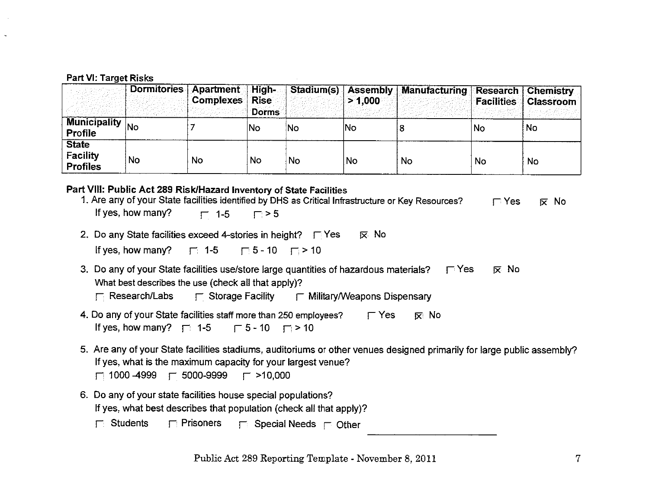|                                                    | Dormitories     | <b>Apartment High-</b><br><b>Complexes</b> Rise | <b>Dorms</b> |     | $>$ 1,000 $^{\circ}$ | Stadium(s) Assembly Manufacturing Research Chemistry |    | <b>Facilities   Classroom  </b> |
|----------------------------------------------------|-----------------|-------------------------------------------------|--------------|-----|----------------------|------------------------------------------------------|----|---------------------------------|
| <b>Municipality</b><br>Profile                     | <sup>I</sup> No |                                                 | No           | iNo | No                   |                                                      | No | No                              |
| <b>State</b><br><b>Facility</b><br><b>Profiles</b> | No              | No                                              | <b>No</b>    | No. | No                   | No.                                                  | No | No                              |

| Part VIII: Public Act 289 Risk/Hazard Inventory of State Facilities<br>1. Are any of your State facilities identified by DHS as Critical Infrastructure or Key Resources? | $\Gamma$ Yes | $\overline{\mathbf{x}}$ No |
|---------------------------------------------------------------------------------------------------------------------------------------------------------------------------|--------------|----------------------------|
| If yes, how many? $\Gamma$ 1-5 $\Gamma > 5$                                                                                                                               |              |                            |
| 2. Do any State facilities exceed 4-stories in height? $\Box$ Yes<br>l≅ No                                                                                                |              |                            |
| If yes, how many? $\Box$ 1-5 $\Box$ 5 - 10 $\Box$ > 10                                                                                                                    |              |                            |

3. Do any of your State facilities use/store large quantities of hazardous materials?  $\Box$  Yes  $\overline{x}$  No What best describes the use (check all that apply)?

| $\Box$ Research/Labs | $\overline{\phantom{a}}$ Storage Facility | $\Gamma$ Military/Weapons Dispensary |
|----------------------|-------------------------------------------|--------------------------------------|
|----------------------|-------------------------------------------|--------------------------------------|

- 4. Do any of your State facilities staff more than 250 employees?  $\Gamma$  Yes  $\nabla$  No If yes, how many?  $\Box$  1-5  $\Box$  5 - 10  $\Box$  > 10
- 5. Are any of your State facilities stadiums, auditoriums or other venues designed primarily for large public assembly? If yes, what is the maximum capacity for your largest venue?

```
\Box 1000 -4999 \Box 5000-9999
                    \Gamma >10,000
```
- 6. Do any of your state facilities house special populations? If yes, what best describes that population (check all that apply)?
	- $\Box$  Students  $\Gamma$  Prisoners  $\Box$  Special Needs  $\Box$  Other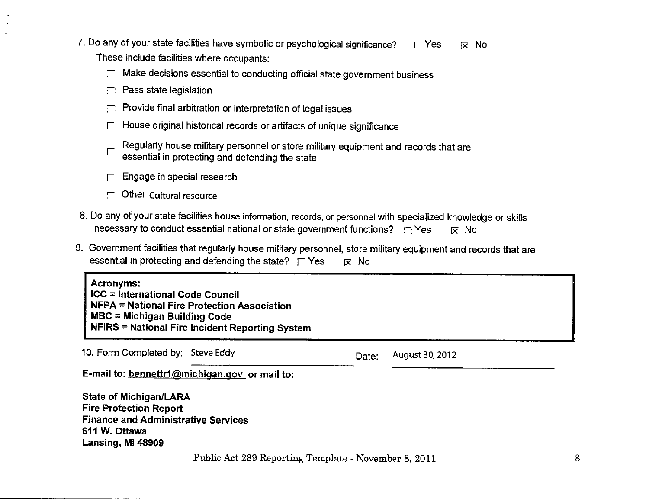- 7. Do any of your state facilities have symbolic or psychological significance?  $\Gamma$  Yes  $\nabla$  No These include facilities where occupants:
	- $\Gamma$  Make decisions essential to conducting official state government business
	- $\Box$  Pass state legislation
	- Provide final arbitration or interpretation of legal issues 日
	- F. House original historical records or artifacts of unique significance
	- Regularly house military personnel or store military equipment and records that are Г. essential in protecting and defending the state
	- Engage in special research
	- $\Box$  Other Cultural resource
- 8. Do any of your state facilities house information, records, or personnel with specialized knowledge or skills necessary to conduct essential national or state government functions?  $\Box$  Yes **IX No**
- 9. Government facilities that regularly house military personnel, store military equipment and records that are essential in protecting and defending the state?  $\Gamma$  Yes 反 No

**Acronyms:** ICC = International Code Council NFPA = National Fire Protection Association **MBC** = Michigan Building Code **NFIRS = National Fire Incident Reporting System** 

10. Form Completed by: Steve Eddy August 30, 2012 Date: E-mail to: bennettr1@michigan.gov or mail to: **State of Michigan/LARA Fire Protection Report Finance and Administrative Services** 611 W. Ottawa Lansing, MI 48909

Public Act 289 Reporting Template - November 8, 2011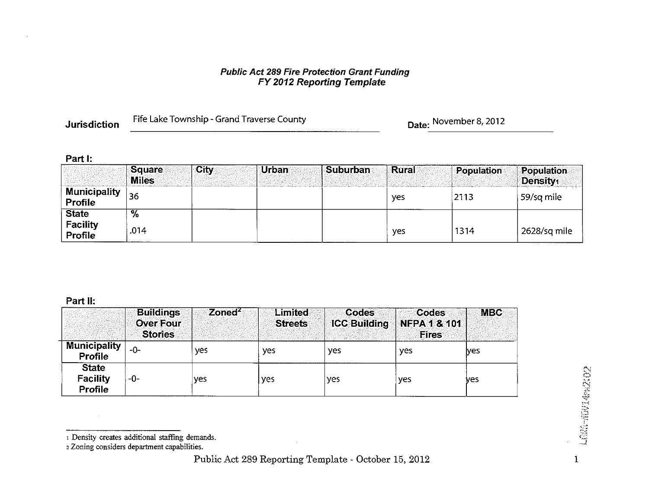# **Public Act 289 Fire Protection Grant Funding<br>FY 2012 Reporting Template**

**Jurisdiction** 

Fife Lake Township - Grand Traverse County

Date: November 8, 2012

#### Part I:

|                                | <b>Square</b><br><b>Miles</b> | <b>City</b> | <b>Urban</b> | ∶Suburban∶ | <b>Rural</b> | Population | Population<br>Density <sub>1</sub> |
|--------------------------------|-------------------------------|-------------|--------------|------------|--------------|------------|------------------------------------|
| <b>Municipality</b><br>Profile | 36                            |             |              |            | yes          | 2113       | 59/sq mile                         |
| <b>State</b>                   | $\overline{\%}$               |             |              |            |              |            |                                    |
| <b>Facility</b><br>Profile     | .014                          |             |              |            | yes          | 1314       | 2628/sq mile                       |

#### Part II:

|                                                   | <b>Buildings</b><br><b>Over Four</b><br><b>Stories</b> | $\overline{\mathsf{Zoned}^2}$ | Limited<br><b>Streets</b> | <b>Codes</b><br><b>ICC Building</b> | <b>Codes</b><br><b>NFPA 1 &amp; 101</b><br><b>Fires</b> | <b>MBC</b> |
|---------------------------------------------------|--------------------------------------------------------|-------------------------------|---------------------------|-------------------------------------|---------------------------------------------------------|------------|
| <b>Municipality</b><br><b>Profile</b>             | -0-                                                    | ves                           | yes                       | yes                                 | yes                                                     | ves        |
| <b>State</b><br><b>Facility</b><br><b>Profile</b> | -0-                                                    | yes                           | yes                       | yes                                 | yes                                                     | ves        |

r.

<sup>1</sup> Density creates additional staffing demands.

<sup>2</sup> Zoning considers department capabilities.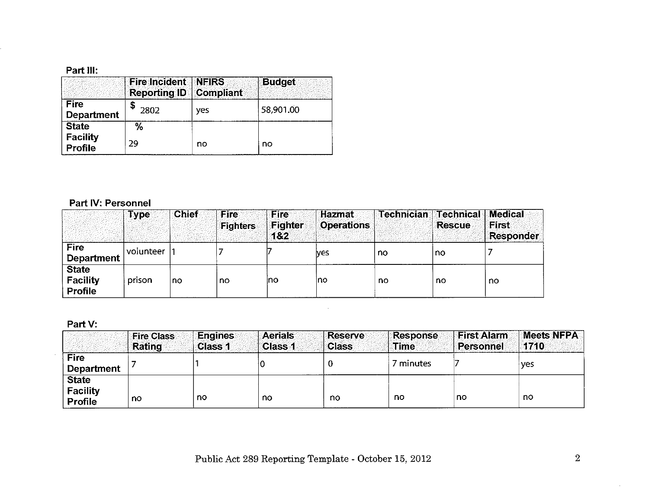|                                   | <b>Fire Incident NFIRS</b><br><b>Reporting ID Compliant</b> |     | <b>Budget</b> |
|-----------------------------------|-------------------------------------------------------------|-----|---------------|
| <b>Fire</b><br><b>Department</b>  | 2802                                                        | ves | 58,901.00     |
| <b>State</b>                      | %                                                           |     |               |
| <b>Facility</b><br><b>Profile</b> | 29                                                          | no  | no            |

### Part IV: Personnel

|                                                   | <b>Type</b> | <b>Chief</b> | Fire<br><b>Fighters</b> | <b>Fire</b><br>Fighter<br>1&2 | <b>Hazmat</b><br><b>Operations</b> | <b>Technician Technical</b> | <b>Rescue</b> | Medical<br><b>First</b><br><b>Responder</b> |
|---------------------------------------------------|-------------|--------------|-------------------------|-------------------------------|------------------------------------|-----------------------------|---------------|---------------------------------------------|
| <b>Fire</b><br><b>Department</b>                  | volunteer   |              |                         |                               | lves                               | no                          | no            |                                             |
| <b>State</b><br><b>Facility</b><br><b>Profile</b> | prison      | no           | no                      | Ino                           | Ino                                | no                          | no            | no                                          |

# Part V:

|                                                   | <b>Fire Class</b><br>Rating | <b>Engines</b><br>Class 1 | <b>Aerials</b><br>Class 1 | Reserve<br><b>Class</b> | Response<br><b>Time</b> | <b>First Alarm</b><br><b>Personnel</b> | <b>Meets NFPA</b><br>1710 |
|---------------------------------------------------|-----------------------------|---------------------------|---------------------------|-------------------------|-------------------------|----------------------------------------|---------------------------|
| <b>Fire</b><br><b>Department</b>                  |                             |                           |                           |                         | 7 minutes               |                                        | †ves                      |
| <b>State</b><br><b>Facility</b><br><b>Profile</b> | n0                          | no.                       | no                        | no                      | no                      | no                                     | no                        |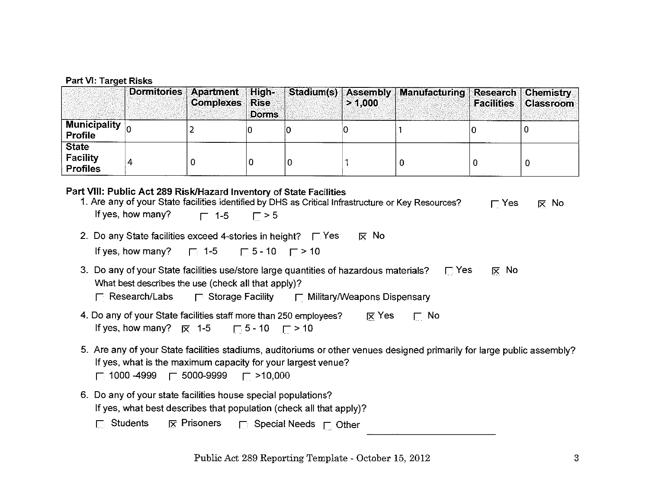|                                                | Dormitories Apartment High- | <b>Complexes Rise</b> | <b>Dorms</b> | > 1.000 | Stadium(s) Assembly Manufacturing Research Chemistry | <b>Facilities Classroom</b> |
|------------------------------------------------|-----------------------------|-----------------------|--------------|---------|------------------------------------------------------|-----------------------------|
| $\sqrt{\text{Minicipality}}$<br><b>Profile</b> |                             |                       |              |         |                                                      |                             |
| <b>State</b><br>Facility<br><b>Profiles</b>    |                             |                       |              |         |                                                      |                             |

### Part VIII: Public Act 289 Risk/Hazard Inventory of State Facilities

| 1. Are any of your State facilities identified by DHS as Critical Infrastructure or Key Resources?                                                      | $\Gamma$ Yes | $\mathsf{R}$ No |
|---------------------------------------------------------------------------------------------------------------------------------------------------------|--------------|-----------------|
| If yes, how many? $\Gamma$ 1-5 $\Gamma > 5$                                                                                                             |              |                 |
| $\overline{\times}$ No<br>2. Do any State facilities exceed 4-stories in height? $\Box$ Yes                                                             |              |                 |
| If yes, how many? $\Box$ 1-5 $\Box$ 5 - 10 $\Box$ > 10                                                                                                  |              |                 |
| 3. Do any of your State facilities use/store large quantities of hazardous materials? $\Box$ Yes<br>What best describes the use (check all that apply)? | ∣⊼ No        |                 |

- 4. Do any of your State facilities staff more than 250 employees?  $\mathsf{\overline{\times}}$  Yes  $\Gamma$  No If yes, how many?  $\overline{R}$  1-5  $\sqrt{5}$  - 10  $\sqrt{7}$  > 10
- 5. Are any of your State facilities stadiums, auditoriums or other venues designed primarily for large public assembly? If yes, what is the maximum capacity for your largest venue?
	- $\Box$  1000 -4999  $\Box$  5000-9999  $\Gamma$  >10,000
- 6. Do any of your state facilities house special populations? If yes, what best describes that population (check all that apply)?
	- $\overline{R}$  Prisoners  $\overline{\phantom{R}}$  Special Needs  $\overline{\phantom{R}}$  Other  $\Box$  Students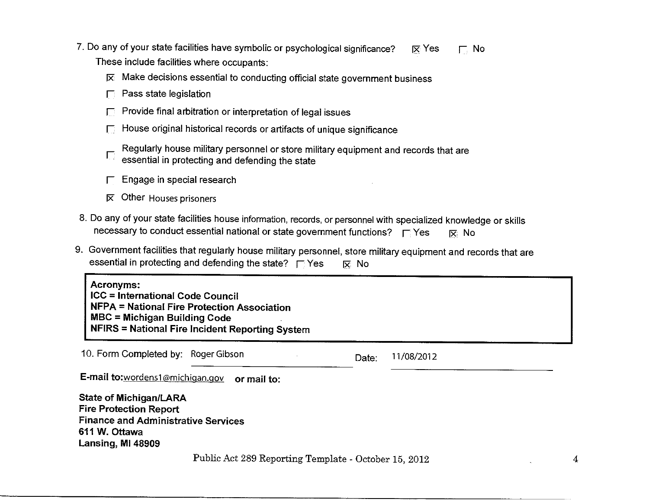- 7. Do any of your state facilities have symbolic or psychological significance?  $\overline{\mathsf{x}}$  Yes  $\Box$  No These include facilities where occupants:
	- $\overline{\bowtie}$  Make decisions essential to conducting official state government business
	- $\Box$  Pass state legislation
	- Provide final arbitration or interpretation of legal issues
	- House original historical records or artifacts of unique significance
	- Regularly house military personnel or store military equipment and records that are essential in protecting and defending the state
	- $\Gamma$  Engage in special research
	- $\overline{\mathsf{x}}$  Other Houses prisoners
- 8. Do any of your state facilities house information, records, or personnel with specialized knowledge or skills necessary to conduct essential national or state government functions? Figures 区 No
- 9. Government facilities that regularly house military personnel, store military equipment and records that are essential in protecting and defending the state?  $\Box$  Yes 区 No

**Acronyms: ICC = International Code Council NFPA = National Fire Protection Association MBC = Michigan Building Code** NFIRS = National Fire Incident Reporting System

10. Form Completed by: Roger Gibson 11/08/2012 Date: E-mail to:wordens1@michigan.gov or mail to: **State of Michigan/LARA Fire Protection Report Finance and Administrative Services** 611 W. Ottawa Lansing, MI 48909

Public Act 289 Reporting Template - October 15, 2012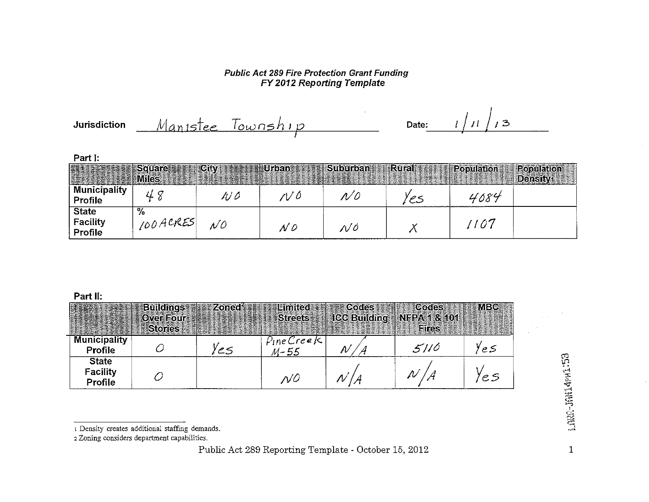#### **Public Act 289 Fire Protection Grant Funding** FY 2012 Reporting Template

 $1/11/3$ Manistee Township **Jurisdiction** Date:

#### Part I:

|                            | <b>Square</b> | $\sqrt{C}$ ity | Urban                  | <b>Suburban</b> | <b>Rural</b> | Population | <b>Population</b> |
|----------------------------|---------------|----------------|------------------------|-----------------|--------------|------------|-------------------|
|                            |               |                |                        |                 |              |            |                   |
|                            | <b>Miles</b>  |                |                        |                 |              |            | <b>Density</b>    |
| <b>Municipality</b>        |               |                |                        |                 |              |            |                   |
|                            |               | 100            | $\prime\prime\,\prime$ | N 0             |              | 4084       |                   |
| Profile                    |               |                |                        |                 |              |            |                   |
| <b>State</b>               | %             |                |                        |                 |              |            |                   |
|                            |               |                |                        |                 |              |            |                   |
|                            | 100 ACRES     | N 0            |                        |                 |              | 1107       |                   |
| <b>Facility</b><br>Profile |               |                | N 0                    | N 0             |              |            |                   |
|                            |               |                |                        |                 |              |            |                   |

#### Part II:

|                                            | <b>Buildings</b><br><b>Over Four</b><br><b>Stories</b> | <b>Zoned</b> | Limited<br><b>Streets</b> | <b>Codes</b><br><b>ICC Building NFPA 1 &amp; 101</b> | <b>Codes</b><br><b>Fires</b> | <b>MBC</b> |
|--------------------------------------------|--------------------------------------------------------|--------------|---------------------------|------------------------------------------------------|------------------------------|------------|
| <b>Municipality</b><br>Profile             |                                                        | 2S           | Pine Creek<br>$M - 55$    |                                                      | 5110                         | e S        |
| <b>State</b><br><b>Facility</b><br>Profile |                                                        |              | ΝC                        |                                                      |                              | 'e S       |

 $\mathbf{1}$ 

<sup>1</sup> Density creates additional staffing demands.

<sup>2</sup> Zoning considers department capabilities.

Public Act 289 Reporting Template - October 15, 2012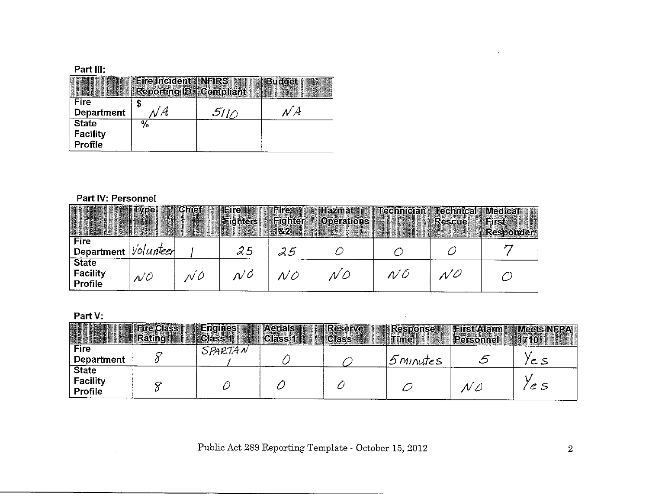|                                            | <b>Eire Incident INFIRS</b><br><b>Reporting ID   Compliant</b> |      | <b>Budget</b> |
|--------------------------------------------|----------------------------------------------------------------|------|---------------|
| Fire<br><b>Department</b>                  |                                                                | 5110 |               |
| <b>State</b><br><b>Facility</b><br>Profile | $\%$                                                           |      |               |

# Part IV: Personnel

 $\sim 10^7$ 

|                                         | <b>ELEMENTIEVDE</b> | <b>Chief</b> | <b>IFire</b><br><b>Fighters</b> | <b>Fire</b><br><b>Fighter</b><br>182 | <b>Hazmat</b><br><b>Operations</b> | Technician Frechnical | <b>Rescue</b>     | <b>Medical</b><br>First<br><b>Responder</b> |
|-----------------------------------------|---------------------|--------------|---------------------------------|--------------------------------------|------------------------------------|-----------------------|-------------------|---------------------------------------------|
| Fire<br>Department $ $ <i>Volunteer</i> |                     |              | 25                              | 25                                   |                                    |                       |                   |                                             |
| <b>State</b><br>Facility<br>Profile     | N O                 | rV O         | n/O                             | NO                                   | N O                                | N O                   | $N^{\mathcal{O}}$ |                                             |

### Part V:

|                                     | <b>Fire Class</b><br><b>Rating</b> | <b>Engines</b><br>Class 1 | <b>Aerials</b><br>Class 1 | <b>Reserve</b><br><b>Class</b> | <b>Response</b><br>arime: | <b>HistAlami</b><br>Personnel | <b>Meets NEPAN</b><br>1710 |
|-------------------------------------|------------------------------------|---------------------------|---------------------------|--------------------------------|---------------------------|-------------------------------|----------------------------|
| <b>Fire</b><br>Department           |                                    | SPARTAN                   |                           |                                | $5$ Minutes               |                               | 'C S                       |
| <b>State</b><br>Facility<br>Profile |                                    |                           |                           |                                |                           | $\mathcal{N} \mathcal{L}$     | le 5                       |

Public Act 289 Reporting Template - October 15, 2012

 $\sim$ 

 $\sim$   $\sim$ 

 $\label{eq:2.1} \frac{1}{\sqrt{2\pi}}\left(\frac{1}{\sqrt{2\pi}}\right)^{2} \frac{1}{\sqrt{2\pi}}\left(\frac{1}{\sqrt{2\pi}}\right)^{2} \frac{1}{\sqrt{2\pi}}\left(\frac{1}{\sqrt{2\pi}}\right)^{2} \frac{1}{\sqrt{2\pi}}\left(\frac{1}{\sqrt{2\pi}}\right)^{2} \frac{1}{\sqrt{2\pi}}\left(\frac{1}{\sqrt{2\pi}}\right)^{2} \frac{1}{\sqrt{2\pi}}\left(\frac{1}{\sqrt{2\pi}}\right)^{2} \frac{1}{\sqrt{2\pi}}\left(\frac{1}{$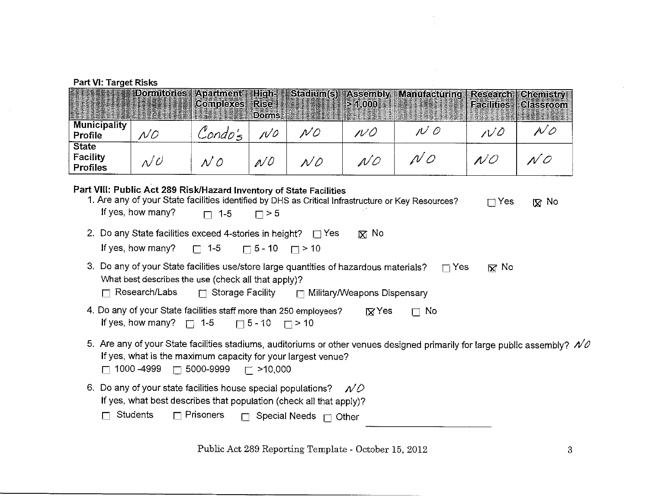$\mathcal{A}^{\mathcal{A}}$ 

| FAIL VI. TAIYEL NISNS                                                                                                                                                                                                                                  |                                                                                                                                                                      |                               |                                             |                     |                             |                                                 |                               |                                      |
|--------------------------------------------------------------------------------------------------------------------------------------------------------------------------------------------------------------------------------------------------------|----------------------------------------------------------------------------------------------------------------------------------------------------------------------|-------------------------------|---------------------------------------------|---------------------|-----------------------------|-------------------------------------------------|-------------------------------|--------------------------------------|
|                                                                                                                                                                                                                                                        | <b>Domitories</b>                                                                                                                                                    | <b>Apariment</b><br>Complexes | <b>High-</b><br><b>Rise</b><br><b>Dorms</b> | Stadium(s) Assembly | > 1.000                     | <b>Manufacturing</b><br><u>sta e de serie d</u> | <b>Research</b><br>Facilities | <b>Chemistry</b><br><b>Classroom</b> |
| <b>Municipality</b><br>Profile                                                                                                                                                                                                                         | NQ                                                                                                                                                                   | Condo's                       | $N^{\circ}$                                 | $N$ 0               | N O                         | $N$ 0                                           | $V^{\prime\prime}$            | $\rho'$ 0                            |
| <b>State</b><br>Facility<br><b>Profiles</b>                                                                                                                                                                                                            | $\mathcal{N}^{\mathcal{O}}$                                                                                                                                          | N 0                           | N <sub>O</sub>                              | $N$ 0               | NQ                          | N O                                             | N O                           | N O                                  |
| Part VIII: Public Act 289 Risk/Hazard Inventory of State Facilities<br>1. Are any of your State facilities identified by DHS as Critical Infrastructure or Key Resources?<br>$\Gamma$ Yes<br>[又 No<br>If yes, how many?<br>$\Box$ 1-5<br>$\Box$ > 5    |                                                                                                                                                                      |                               |                                             |                     |                             |                                                 |                               |                                      |
|                                                                                                                                                                                                                                                        | 2. Do any State facilities exceed 4-stories in height? $\Box$ Yes<br>If yes, how many?                                                                               | $\Box$ 1-5                    | $\Box$ 5 - 10 $\Box$ > 10                   |                     | $\boxtimes$ No              |                                                 |                               |                                      |
|                                                                                                                                                                                                                                                        | 3. Do any of your State facilities use/store large quantities of hazardous materials?<br>What best describes the use (check all that apply)?<br>$\Box$ Research/Labs | $\Box$ Storage Facility       |                                             |                     | Military/Weapons Dispensary | $\Box$ Yes                                      | $\overline{M}$ No             |                                      |
| 4. Do any of your State facilities staff more than 250 employees?<br>RYes<br>No<br>$\Box$<br>If yes, how many? $\Box$ 1-5<br>$\Box$ 5 - 10<br>$\Box$ > 10                                                                                              |                                                                                                                                                                      |                               |                                             |                     |                             |                                                 |                               |                                      |
| 5. Are any of your State facilities stadiums, auditoriums or other venues designed primarily for large public assembly? $NQ$<br>If yes, what is the maximum capacity for your largest venue?<br>5000-9999<br>1000 - 4999<br>$\Box$<br>$\Gamma$ >10,000 |                                                                                                                                                                      |                               |                                             |                     |                             |                                                 |                               |                                      |
| 6. Do any of your state facilities house special populations? $\mathcal{N}\mathcal{D}$<br>If yes, what best describes that population (check all that apply)?<br><b>Students</b><br>$\Box$ Prisoners<br>Special Needs $\Box$ Other<br>$\Box$           |                                                                                                                                                                      |                               |                                             |                     |                             |                                                 |                               |                                      |

Public Act 289 Reporting Template - October 15, 2012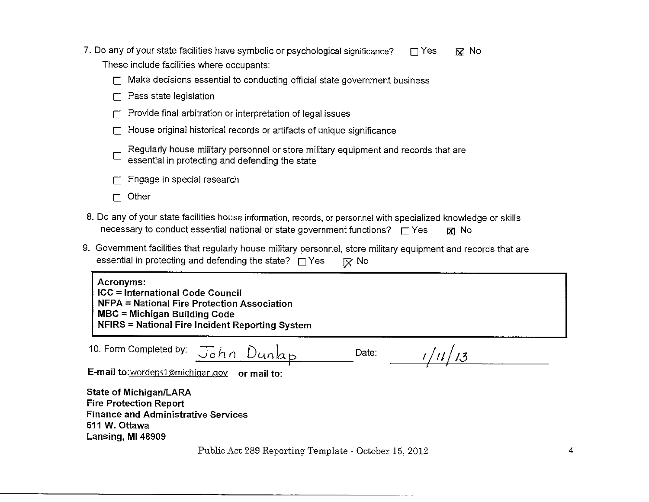| 7. Do any of your state facilities have symbolic or psychological significance? | $\Box$ Yes | ାସ  No |
|---------------------------------------------------------------------------------|------------|--------|
| These include facilities where occupants:                                       |            |        |

| $\Box$ Make decisions essential to conducting official state government business |  |  |  |
|----------------------------------------------------------------------------------|--|--|--|
|                                                                                  |  |  |  |

- $\Box$  Pass state legislation
- $\Box$  Provide final arbitration or interpretation of legal issues
- $\Box$  House original historical records or artifacts of unique significance

| Regularly house military personnel or store military equipment and records that are |
|-------------------------------------------------------------------------------------|
| $\vdash$ essential in protecting and defending the state                            |

- Engage in special research  $\Box$
- $\Box$  Other
- 8. Do any of your state facilities house information, records, or personnel with specialized knowledge or skills necessary to conduct essential national or state government functions?  $\Box$  Yes  $R$  No
- 9. Government facilities that regularly house military personnel, store military equipment and records that are essential in protecting and defending the state?  $\Box$  Yes  $\nabla$  No

Acronyms: **ICC = International Code Council** NFPA = National Fire Protection Association **MBC = Michigan Building Code** NFIRS = National Fire Incident Reporting System

10. Form Completed by:

John Dunlap

Date:

 $1/11/13$ 

E-mail to:wordens1@michigan.gov or mail to:

**State of Michigan/LARA Fire Protection Report Finance and Administrative Services** 611 W. Ottawa Lansing, MI 48909

Public Act 289 Reporting Template - October 15, 2012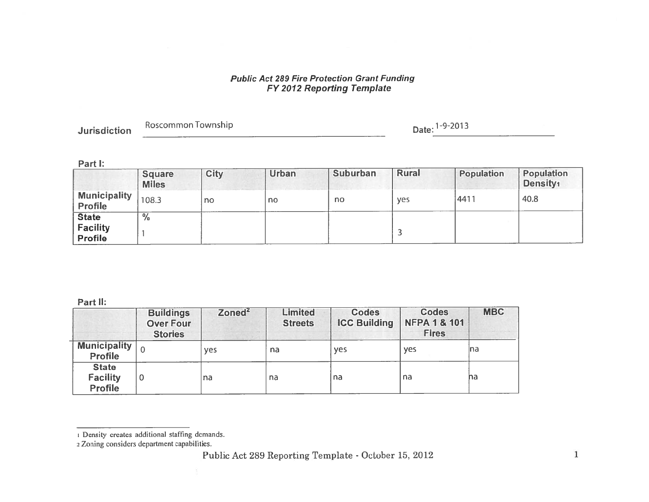# **Public Act 289 Fire Protection Grant Funding<br>FY 2012 Reporting Template**

| <b>Jurisdiction</b> | Roscommon Township               | Date: 1-9-2013 |
|---------------------|----------------------------------|----------------|
|                     | - Margaret and - Margaret Monter |                |

#### Part I:

|                                            | <b>Square</b><br><b>Miles</b> | <b>City</b> | <b>Urban</b> | <b>Suburban</b> | <b>Rural</b> | <b>Population</b> | Population<br>Density <sub>1</sub> |
|--------------------------------------------|-------------------------------|-------------|--------------|-----------------|--------------|-------------------|------------------------------------|
| <b>Municipality</b><br><b>Profile</b>      | 108.3                         | no          | no           | no              | yes          | 4411              | 40.8                               |
| <b>State</b><br><b>Facility</b><br>Profile | $\frac{0}{6}$                 |             |              |                 |              |                   |                                    |

#### Part II:

|                                            | <b>Buildings</b><br><b>Over Four</b><br><b>Stories</b> | Zoned <sup>2</sup> | <b>Limited</b><br><b>Streets</b> | <b>Codes</b><br><b>ICC Building</b> | <b>Codes</b><br><b>NFPA 1 &amp; 101</b><br><b>Fires</b> | <b>MBC</b> |
|--------------------------------------------|--------------------------------------------------------|--------------------|----------------------------------|-------------------------------------|---------------------------------------------------------|------------|
| <b>Municipality</b><br><b>Profile</b>      |                                                        | <b>yes</b>         | na                               | <b>ves</b>                          | yes                                                     | Ina        |
| <b>State</b><br><b>Facility</b><br>Profile | 0                                                      | na                 | na                               | na                                  | na                                                      | na         |

<sup>1</sup> Density creates additional staffing demands.

<sup>2</sup> Zoning considers department capabilities.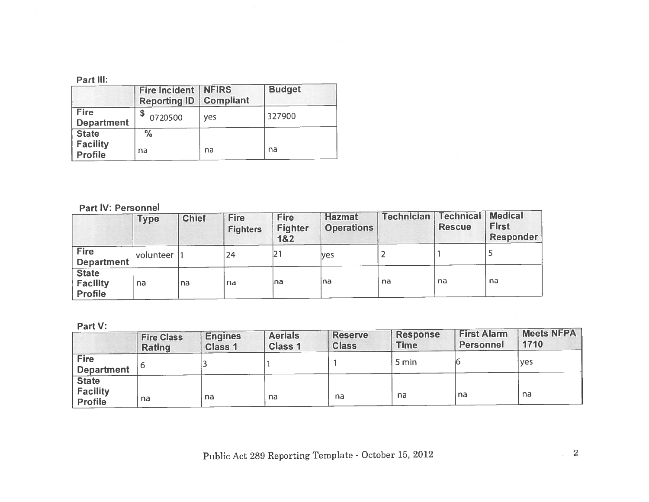|                                   | <b>Fire Incident</b><br><b>Reporting ID</b> | <b>NFIRS</b><br><b>Compliant</b> | <b>Budget</b> |
|-----------------------------------|---------------------------------------------|----------------------------------|---------------|
| <b>Fire</b><br><b>Department</b>  | 0720500                                     | ves                              | 327900        |
| <b>State</b>                      | $\frac{0}{0}$                               |                                  |               |
| <b>Facility</b><br><b>Profile</b> | na                                          | na                               | na            |

 $\tilde{\omega}$ 

# Part IV: Personnel

|                                            | <b>Type</b> | <b>Chief</b> | <b>Fire</b><br><b>Fighters</b> | <b>Fire</b><br><b>Fighter</b><br>1&2 | <b>Hazmat</b><br><b>Operations</b> | <b>Technician</b> | <b>Technical</b><br><b>Rescue</b> | <b>Medical</b><br><b>First</b><br><b>Responder</b> |
|--------------------------------------------|-------------|--------------|--------------------------------|--------------------------------------|------------------------------------|-------------------|-----------------------------------|----------------------------------------------------|
| Fire<br><b>Department</b>                  | volunteer   |              | 24                             | 21                                   | lves                               |                   |                                   |                                                    |
| <b>State</b><br><b>Facility</b><br>Profile | na          | na           | na                             | lna                                  | Ina                                | na                | na                                | na                                                 |

Part V:

| .                                                 | <b>Fire Class</b><br><b>Rating</b> | <b>Engines</b><br><b>Class 1</b> | <b>Aerials</b><br><b>Class 1</b> | <b>Reserve</b><br><b>Class</b> | <b>Response</b><br><b>Time</b> | <b>First Alarm</b><br>Personnel | <b>Meets NFPA</b><br>1710 |
|---------------------------------------------------|------------------------------------|----------------------------------|----------------------------------|--------------------------------|--------------------------------|---------------------------------|---------------------------|
| <b>Fire</b><br><b>Department</b>                  |                                    |                                  |                                  |                                | 5 min                          |                                 | 'yes                      |
| <b>State</b><br><b>Facility</b><br><b>Profile</b> | na                                 | na                               | na                               | na                             | na                             | na                              | na                        |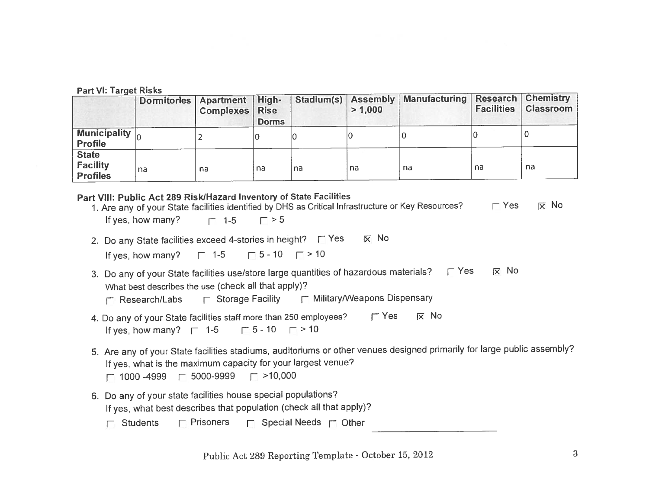|                                                    | Dormitories Apartment High- | <b>Complexes   Rise</b> | <b>Dorms</b> | Stadium(s) Assembly | > 1,000 | <b>Manufacturing Research Chemistry</b> | <b>Facilities</b> | <b>Classroom</b> |
|----------------------------------------------------|-----------------------------|-------------------------|--------------|---------------------|---------|-----------------------------------------|-------------------|------------------|
| Municipality $\boxed{0}$                           |                             |                         |              | IC                  |         |                                         |                   |                  |
| <b>State</b><br><b>Facility</b><br><b>Profiles</b> | na                          | na                      | na           | na                  | na      | na                                      | na                | na               |

#### Part VIII: Public Act 289 Risk/Hazard Inventory of State Facilities 1. Are any of your State facilities identified by DHS as Critical Infrastructure or Key Resources?  $\Gamma$  Yes **IX** No If yes, how many?  $\Gamma > 5$  $\Box$  1-5

- 2. Do any State facilities exceed 4-stories in height? F Yes  $\overline{X}$  No  $\Box$  5 - 10  $\Box$  > 10 If yes, how many?  $\Box$  1-5
- 3. Do any of your State facilities use/store large quantities of hazardous materials? F Yes  $\nabla$  No What best describes the use (check all that apply)?

|  | <b>F</b> Research/Labs |  | $\Gamma$ Storage Facility |  | Military/Weapons Dispensary |  |
|--|------------------------|--|---------------------------|--|-----------------------------|--|
|--|------------------------|--|---------------------------|--|-----------------------------|--|

- 4. Do any of your State facilities staff more than 250 employees?  $\Gamma$  Yes  $\overline{X}$  No  $\Box$  5 - 10  $\Box$  > 10 If yes, how many?  $\Gamma$  1-5
- 5. Are any of your State facilities stadiums, auditoriums or other venues designed primarily for large public assembly? If yes, what is the maximum capacity for your largest venue?
	- $\Box$  >10,000  $\Box$  1000 -4999  $\Box$  5000-9999
- 6. Do any of your state facilities house special populations? If yes, what best describes that population (check all that apply)?
	- $\Gamma$  Prisoners  $\Box$  Special Needs  $\Box$  Other  $\Box$  Students